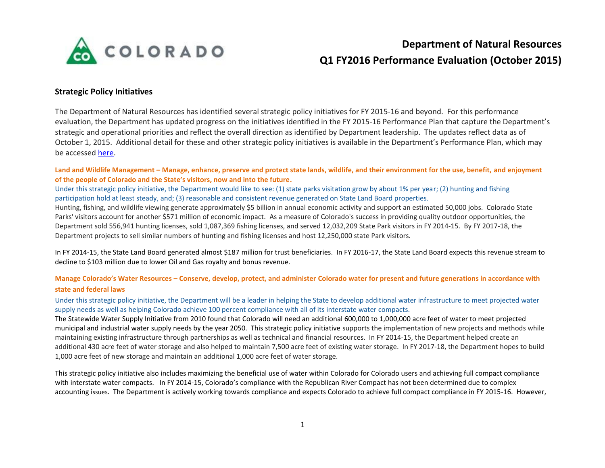

# **Department of Natural Resources Q1 FY2016 Performance Evaluation (October 2015)**

## **Strategic Policy Initiatives**

The Department of Natural Resources has identified several strategic policy initiatives for FY 2015-16 and beyond. For this performance evaluation, the Department has updated progress on the initiatives identified in the FY 2015-16 Performance Plan that capture the Department's strategic and operational priorities and reflect the overall direction as identified by Department leadership. The updates reflect data as of October 1, 2015. Additional detail for these and other strategic policy initiatives is available in the Department's Performance Plan, which may be accessed [here.](https://sites.google.com/a/state.co.us/colorado-performance-management/department-performance-plans)

Land and Wildlife Management – Manage, enhance, preserve and protect state lands, wildlife, and their environment for the use, benefit, and enjoyment **of the people of Colorado and the State's visitors, now and into the future.**

Under this strategic policy initiative, the Department would like to see: (1) state parks visitation grow by about 1% per year; (2) hunting and fishing participation hold at least steady, and; (3) reasonable and consistent revenue generated on State Land Board properties.

Hunting, fishing, and wildlife viewing generate approximately \$5 billion in annual economic activity and support an estimated 50,000 jobs. Colorado State Parks' visitors account for another \$571 million of economic impact. As a measure of Colorado's success in providing quality outdoor opportunities, the Department sold 556,941 hunting licenses, sold 1,087,369 fishing licenses, and served 12,032,209 State Park visitors in FY 2014-15. By FY 2017-18, the Department projects to sell similar numbers of hunting and fishing licenses and host 12,250,000 state Park visitors.

In FY 2014-15, the State Land Board generated almost \$187 million for trust beneficiaries. In FY 2016-17, the State Land Board expects this revenue stream to decline to \$103 million due to lower Oil and Gas royalty and bonus revenue.

### **Manage Colorado's Water Resources – Conserve, develop, protect, and administer Colorado water for present and future generations in accordance with state and federal laws**

Under this strategic policy initiative, the Department will be a leader in helping the State to develop additional water infrastructure to meet projected water supply needs as well as helping Colorado achieve 100 percent compliance with all of its interstate water compacts.

The Statewide Water Supply Initiative from 2010 found that Colorado will need an additional 600,000 to 1,000,000 acre feet of water to meet projected municipal and industrial water supply needs by the year 2050. This strategic policy initiative supports the implementation of new projects and methods while maintaining existing infrastructure through partnerships as well as technical and financial resources. In FY 2014-15, the Department helped create an additional 430 acre feet of water storage and also helped to maintain 7,500 acre feet of existing water storage. In FY 2017-18, the Department hopes to build 1,000 acre feet of new storage and maintain an additional 1,000 acre feet of water storage.

This strategic policy initiative also includes maximizing the beneficial use of water within Colorado for Colorado users and achieving full compact compliance with interstate water compacts. In FY 2014-15, Colorado's compliance with the Republican River Compact has not been determined due to complex accounting issues. The Department is actively working towards compliance and expects Colorado to achieve full compact compliance in FY 2015-16. However,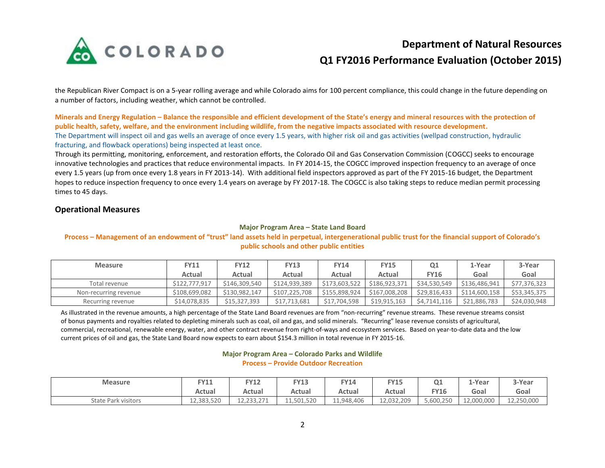

# **Department of Natural Resources Q1 FY2016 Performance Evaluation (October 2015)**

the Republican River Compact is on a 5-year rolling average and while Colorado aims for 100 percent compliance, this could change in the future depending on a number of factors, including weather, which cannot be controlled.

**Minerals and Energy Regulation – Balance the responsible and efficient development of the State's energy and mineral resources with the protection of public health, safety, welfare, and the environment including wildlife, from the negative impacts associated with resource development.** The Department will inspect oil and gas wells an average of once every 1.5 years, with higher risk oil and gas activities (wellpad construction, hydraulic fracturing, and flowback operations) being inspected at least once.

Through its permitting, monitoring, enforcement, and restoration efforts, the Colorado Oil and Gas Conservation Commission (COGCC) seeks to encourage innovative technologies and practices that reduce environmental impacts. In FY 2014-15, the COGCC improved inspection frequency to an average of once every 1.5 years (up from once every 1.8 years in FY 2013-14). With additional field inspectors approved as part of the FY 2015-16 budget, the Department hopes to reduce inspection frequency to once every 1.4 years on average by FY 2017-18. The COGCC is also taking steps to reduce median permit processing times to 45 days.

## **Operational Measures**

#### **Major Program Area – State Land Board**

### **Process – Management of an endowment of "trust" land assets held in perpetual, intergenerational public trust for the financial support of Colorado's public schools and other public entities**

| <b>Measure</b>        | <b>FY11</b>   | <b>FY12</b>   | <b>FY13</b>   | <b>FY14</b>   | <b>FY15</b>   | Q1           | 1-Year        | 3-Year       |
|-----------------------|---------------|---------------|---------------|---------------|---------------|--------------|---------------|--------------|
|                       | Actual        | Actual        | Actual        | Actual        | Actual        | <b>FY16</b>  | Goal          | Goal         |
| Total revenue         | \$122,777,917 | \$146,309,540 | \$124,939,389 | \$173,603,522 | \$186,923,371 | \$34,530,549 | \$136,486,941 | \$77,376,323 |
| Non-recurring revenue | \$108,699,082 | \$130,982,147 | \$107,225,708 | \$155,898,924 | \$167,008,208 | \$29,816,433 | \$114,600,158 | \$53,345,375 |
| Recurring revenue     | \$14,078,835  | \$15,327,393  | \$17,713,681  | \$17,704,598  | \$19,915,163  | \$4,7141,116 | \$21,886,783  | \$24,030,948 |

As illustrated in the revenue amounts, a high percentage of the State Land Board revenues are from "non-recurring" revenue streams. These revenue streams consist of bonus payments and royalties related to depleting minerals such as coal, oil and gas, and solid minerals. "Recurring" lease revenue consists of agricultural, commercial, recreational, renewable energy, water, and other contract revenue from right-of-ways and ecosystem services. Based on year-to-date data and the low current prices of oil and gas, the State Land Board now expects to earn about \$154.3 million in total revenue in FY 2015-16.

#### **Major Program Area – Colorado Parks and Wildlife Process – Provide Outdoor Recreation**

| <b>Measure</b>             | Y11        | <b>FY12</b>           | <b>FY13</b> | Y14        | <b>FY15</b> | Q <sub>1</sub> | 1-Year                | 3-Year     |
|----------------------------|------------|-----------------------|-------------|------------|-------------|----------------|-----------------------|------------|
|                            | Actual     | Actual                | Actual      | Actual     | Actual      | <b>FY16</b>    | Goal                  | Goal       |
| <b>State Park visitors</b> | 12.383.520 | 733 771<br>$+2.23.21$ | 11,501,520  | 11,948,406 | 12,032,209  | 5,600,250      | non non<br>LZ,UUU,UUU | 12,250,000 |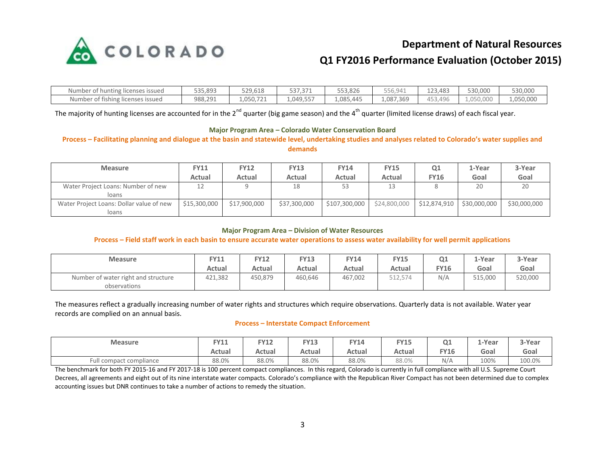

# **Department of Natural Resources**

# **Q1 FY2016 Performance Evaluation (October 2015)**

| Number of hunting licenses issued | 535,893 | 529.618   | 537,371   | 553,826   | 556,941   | 123.483 | 530.000   | 530,000   |
|-----------------------------------|---------|-----------|-----------|-----------|-----------|---------|-----------|-----------|
| Number of fishing licenses issued | 988,291 | 1,050,721 | 1,049,557 | 1,085,445 | 1,087,369 | 453,496 | 1,050,000 | 1,050,000 |

The majority of hunting licenses are accounted for in the  $2^{nd}$  quarter (big game season) and the  $4^{th}$  quarter (limited license draws) of each fiscal year.

#### **Major Program Area – Colorado Water Conservation Board**

### **Process – Facilitating planning and dialogue at the basin and statewide level, undertaking studies and analyses related to Colorado's water supplies and demands**

| <b>Measure</b>                                    | <b>FY11</b><br>Actual | <b>FY12</b><br>Actual | <b>FY13</b><br>Actual | <b>FY14</b><br>Actual | <b>FY15</b><br>Actual | Q1<br><b>FY16</b> | 1-Year<br>Goal | 3-Year<br>Goal |
|---------------------------------------------------|-----------------------|-----------------------|-----------------------|-----------------------|-----------------------|-------------------|----------------|----------------|
| Water Project Loans: Number of new<br>loans       | 12                    |                       | 18                    | 53                    |                       |                   | 20             | 20             |
| Water Project Loans: Dollar value of new<br>loans | \$15,300,000          | \$17,900,000          | \$37,300,000          | \$107,300,000         | \$24,800,000          | \$12,874,910      | \$30,000,000   | \$30,000,000   |

#### **Major Program Area – Division of Water Resources**

### **Process – Field staff work in each basin to ensure accurate water operations to assess water availability for well permit applications**

| <b>Measure</b>                                      | FY11    | <b>FY12</b> | <b>FY13</b> | Y14     | <b>FY15</b> | Q1  | L-Year  | 3-Year  |
|-----------------------------------------------------|---------|-------------|-------------|---------|-------------|-----|---------|---------|
|                                                     | Actual  | Actual      | Actual      | Actual  | Actual      | Y16 | Goal    | Goal    |
| Number of water right and structure<br>observations | 421,382 | 450,879     | 460,646     | 467,002 | 512,574     | N/A | 515,000 | 520,000 |

The measures reflect a gradually increasing number of water rights and structures which require observations. Quarterly data is not available. Water year records are complied on an annual basis.

#### **Process – Interstate Compact Enforcement**

| <b>Measure</b>          | TVA<br>. | <b>FY12</b> | <b>FY13</b> | Y14    | EV <sub>1</sub> F<br>د ۲۰ | Q <sub>1</sub> | .-Year | 3-Year |
|-------------------------|----------|-------------|-------------|--------|---------------------------|----------------|--------|--------|
|                         | Actual   | Actual      | Actual      | Actual | Actual                    | EVAC<br>∙Y⊥b   | Goal   | Goal   |
| Full compact compliance | 88.0%    | 88.0%       | 88.0%       | 88.0%  | 88.0%                     | N/A            | 100%   | 100.0% |

The benchmark for both FY 2015-16 and FY 2017-18 is 100 percent compact compliances. In this regard, Colorado is currently in full compliance with all U.S. Supreme Court Decrees, all agreements and eight out of its nine interstate water compacts. Colorado's compliance with the Republican River Compact has not been determined due to complex accounting issues but DNR continues to take a number of actions to remedy the situation.